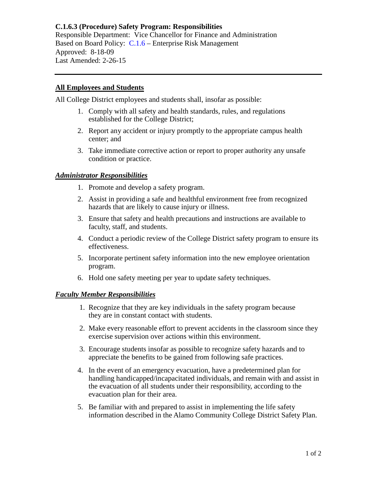# **C.1.6.3 (Procedure) Safety Program: Responsibilities** Responsible Department: Vice Chancellor for Finance and Administration

Based on Board Policy: C.1.6 – Enterprise Risk Management Approved: 8-18-09 Last Amended: 2-26-15

## **All Employees and Students**

All College District employees and students shall, insofar as possible:

- 1. Comply with all safety and health standards, rules, and regulations established for the College District;
- 2. Report any accident or injury promptly to the appropriate campus health center; and
- 3. Take immediate corrective action or report to proper authority any unsafe condition or practice.

## *Administrator Responsibilities*

- 1. Promote and develop a safety program.
- 2. Assist in providing a safe and healthful environment free from recognized hazards that are likely to cause injury or illness.
- 3. Ensure that safety and health precautions and instructions are available to faculty, staff, and students.
- 4. Conduct a periodic review of the College District safety program to ensure its effectiveness.
- 5. Incorporate pertinent safety information into the new employee orientation program.
- 6. Hold one safety meeting per year to update safety techniques.

#### *Faculty Member Responsibilities*

- 1. Recognize that they are key individuals in the safety program because they are in constant contact with students.
- 2. Make every reasonable effort to prevent accidents in the classroom since they exercise supervision over actions within this environment.
- 3. Encourage students insofar as possible to recognize safety hazards and to appreciate the benefits to be gained from following safe practices.
- 4. In the event of an emergency evacuation, have a predetermined plan for handling handicapped/incapacitated individuals, and remain with and assist in the evacuation of all students under their responsibility, according to the evacuation plan for their area.
- 5. Be familiar with and prepared to assist in implementing the life safety information described in the Alamo Community College District Safety Plan.